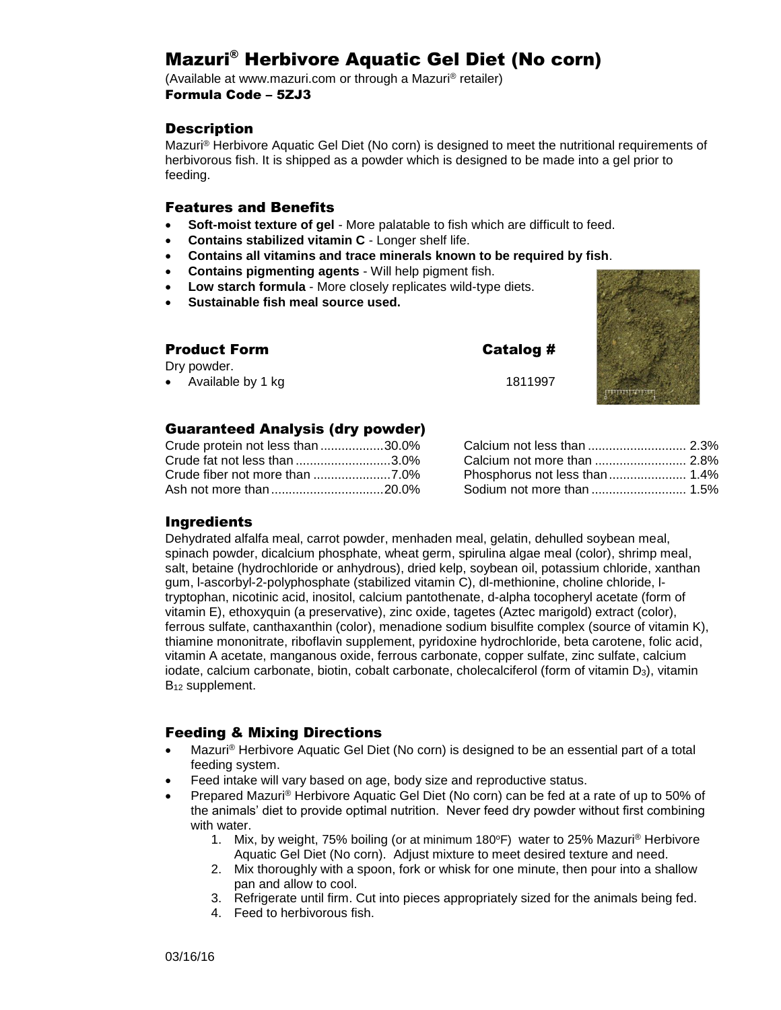# Mazuri® Herbivore Aquatic Gel Diet (No corn)

(Available at www.mazuri.com or through a Mazuri® retailer) Formula Code – 5ZJ3

### **Description**

Mazuri® Herbivore Aquatic Gel Diet (No corn) is designed to meet the nutritional requirements of herbivorous fish. It is shipped as a powder which is designed to be made into a gel prior to feeding.

### Features and Benefits

- **Soft-moist texture of gel** More palatable to fish which are difficult to feed.
- **Contains stabilized vitamin C**  Longer shelf life.
- **Contains all vitamins and trace minerals known to be required by fish**.
- **Contains pigmenting agents** Will help pigment fish.
- **Low starch formula** More closely replicates wild-type diets.
- **Sustainable fish meal source used.**

| <b>Product Form</b> | Catalog # |
|---------------------|-----------|
| Dry powder.         |           |
| • Available by 1 kg | 1811997   |



## Guaranteed Analysis (dry powder)

| Crude protein not less than 30.0% |  |
|-----------------------------------|--|
| Crude fat not less than 3.0%      |  |
|                                   |  |
|                                   |  |

| Calcium not less than  2.3%   |  |
|-------------------------------|--|
| Calcium not more than  2.8%   |  |
| Phosphorus not less than 1.4% |  |
| Sodium not more than  1.5%    |  |

### Ingredients

Dehydrated alfalfa meal, carrot powder, menhaden meal, gelatin, dehulled soybean meal, spinach powder, dicalcium phosphate, wheat germ, spirulina algae meal (color), shrimp meal, salt, betaine (hydrochloride or anhydrous), dried kelp, soybean oil, potassium chloride, xanthan gum, l-ascorbyl-2-polyphosphate (stabilized vitamin C), dl-methionine, choline chloride, ltryptophan, nicotinic acid, inositol, calcium pantothenate, d-alpha tocopheryl acetate (form of vitamin E), ethoxyquin (a preservative), zinc oxide, tagetes (Aztec marigold) extract (color), ferrous sulfate, canthaxanthin (color), menadione sodium bisulfite complex (source of vitamin K), thiamine mononitrate, riboflavin supplement, pyridoxine hydrochloride, beta carotene, folic acid, vitamin A acetate, manganous oxide, ferrous carbonate, copper sulfate, zinc sulfate, calcium iodate, calcium carbonate, biotin, cobalt carbonate, cholecalciferol (form of vitamin D<sub>3</sub>), vitamin B<sub>12</sub> supplement.

## Feeding & Mixing Directions

- Mazuri® Herbivore Aquatic Gel Diet (No corn) is designed to be an essential part of a total feeding system.
- Feed intake will vary based on age, body size and reproductive status.
- Prepared Mazuri® Herbivore Aquatic Gel Diet (No corn) can be fed at a rate of up to 50% of the animals' diet to provide optimal nutrition. Never feed dry powder without first combining with water.
	- 1. Mix, by weight, 75% boiling (or at minimum 180°F) water to 25% Mazuri<sup>®</sup> Herbivore Aquatic Gel Diet (No corn). Adjust mixture to meet desired texture and need.
	- 2. Mix thoroughly with a spoon, fork or whisk for one minute, then pour into a shallow pan and allow to cool.
	- 3. Refrigerate until firm. Cut into pieces appropriately sized for the animals being fed.
	- 4. Feed to herbivorous fish.